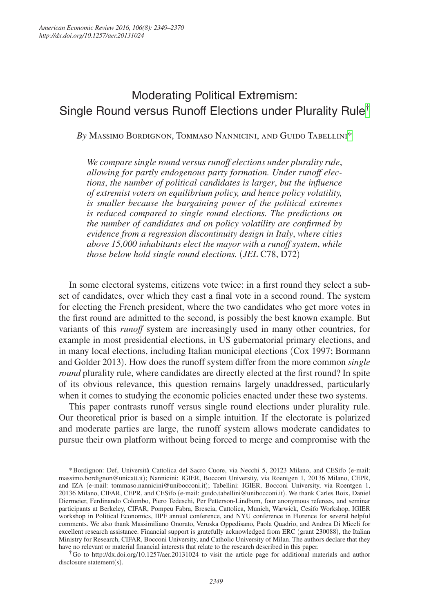# Moderating Political Extremism: Single Round versus Runoff Elections under Plurality Rule[†](#page-0-0)

*By* Massimo Bordignon, Tommaso Nannicini, and Guido Tabellin[i\\*](#page-0-1)

*We compare single round versus runoff elections under plurality rule*, *allowing for partly endogenous party formation. Under runoff elections*, *the number of political candidates is larger*, *but the influence of extremist voters on equilibrium policy, and hence policy volatility, is smaller because the bargaining power of the political extremes is reduced compared to single round elections. The predictions on the number of candidates and on policy volatility are confirmed by evidence from a regression discontinuity design in Italy*, *where cities above 15,000 inhabitants elect the mayor with a runoff system*, *while those below hold single round elections.* (*JEL* C78, D72)

In some electoral systems, citizens vote twice: in a first round they select a subset of candidates, over which they cast a final vote in a second round. The system for electing the French president, where the two candidates who get more votes in the first round are admitted to the second, is possibly the best known example. But variants of this *runoff* system are increasingly used in many other countries, for example in most presidential elections, in US gubernatorial primary elections, and in many local elections, including Italian municipal elections (Cox 1997; Bormann and Golder 2013). How does the runoff system differ from the more common *single round* plurality rule, where candidates are directly elected at the first round? In spite of its obvious relevance, this question remains largely unaddressed, particularly when it comes to studying the economic policies enacted under these two systems.

This paper contrasts runoff versus single round elections under plurality rule. Our theoretical prior is based on a simple intuition. If the electorate is polarized and moderate parties are large, the runoff system allows moderate candidates to pursue their own platform without being forced to merge and compromise with the

<span id="page-0-0"></span>†Go to <http://dx.doi.org/10.1257/aer.20131024>to visit the article page for additional materials and author disclosure statement(s).

<span id="page-0-1"></span><sup>\*</sup>Bordignon: Def, Università Cattolica del Sacro Cuore, via Necchi 5, 20123 Milano, and CESifo (e-mail: [massimo.bordignon@unicatt.it](mailto:massimo.bordignon@unicatt.it)); Nannicini: IGIER, Bocconi University, via Roentgen 1, 20136 Milano, CEPR, and IZA (e-mail: [tommaso.nannicini@unibocconi.it](mailto:tommaso.nannicini@unibocconi.it)); Tabellini: IGIER, Bocconi University, via Roentgen 1, 20136 Milano, CIFAR, CEPR, and CESifo (e-mail: [guido.tabellini@unibocconi.it](mailto:guido.tabellini@unibocconi.it)). We thank Carles Boix, Daniel Diermeier, Ferdinando Colombo, Piero Tedeschi, Per Petterson-Lindbom, four anonymous referees, and seminar participants at Berkeley, CIFAR, Pompeu Fabra, Brescia, Cattolica, Munich, Warwick, Cesifo Workshop, IGIER workshop in Political Economics, IIPF annual conference, and NYU conference in Florence for several helpful comments. We also thank Massimiliano Onorato, Veruska Oppedisano, Paola Quadrio, and Andrea Di Miceli for excellent research assistance. Financial support is gratefully acknowledged from ERC (grant 230088), the Italian Ministry for Research, CIFAR, Bocconi University, and Catholic University of Milan. The authors declare that they have no relevant or material financial interests that relate to the research described in this paper.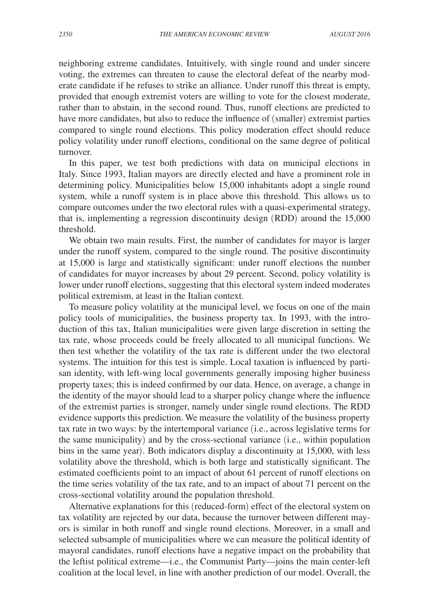neighboring extreme candidates. Intuitively, with single round and under sincere voting, the extremes can threaten to cause the electoral defeat of the nearby moderate candidate if he refuses to strike an alliance. Under runoff this threat is empty, provided that enough extremist voters are willing to vote for the closest moderate, rather than to abstain, in the second round. Thus, runoff elections are predicted to have more candidates, but also to reduce the influence of (smaller) extremist parties compared to single round elections. This policy moderation effect should reduce policy volatility under runoff elections, conditional on the same degree of political turnover.

In this paper, we test both predictions with data on municipal elections in Italy. Since 1993, Italian mayors are directly elected and have a prominent role in determining policy. Municipalities below 15,000 inhabitants adopt a single round system, while a runoff system is in place above this threshold. This allows us to compare outcomes under the two electoral rules with a quasi-experimental strategy, that is, implementing a regression discontinuity design (RDD) around the 15,000 threshold.

We obtain two main results. First, the number of candidates for mayor is larger under the runoff system, compared to the single round. The positive discontinuity at 15,000 is large and statistically significant: under runoff elections the number of candidates for mayor increases by about 29 percent. Second, policy volatility is lower under runoff elections, suggesting that this electoral system indeed moderates political extremism, at least in the Italian context.

To measure policy volatility at the municipal level, we focus on one of the main policy tools of municipalities, the business property tax. In 1993, with the introduction of this tax, Italian municipalities were given large discretion in setting the tax rate, whose proceeds could be freely allocated to all municipal functions. We then test whether the volatility of the tax rate is different under the two electoral systems. The intuition for this test is simple. Local taxation is influenced by partisan identity, with left-wing local governments generally imposing higher business property taxes; this is indeed confirmed by our data. Hence, on average, a change in the identity of the mayor should lead to a sharper policy change where the influence of the extremist parties is stronger, namely under single round elections. The RDD evidence supports this prediction. We measure the volatility of the business property tax rate in two ways: by the intertemporal variance (i.e., across legislative terms for the same municipality) and by the cross-sectional variance (i.e., within population bins in the same year). Both indicators display a discontinuity at 15,000, with less volatility above the threshold, which is both large and statistically significant. The estimated coefficients point to an impact of about 61 percent of runoff elections on the time series volatility of the tax rate, and to an impact of about 71 percent on the cross-sectional volatility around the population threshold.

Alternative explanations for this (reduced-form) effect of the electoral system on tax volatility are rejected by our data, because the turnover between different mayors is similar in both runoff and single round elections. Moreover, in a small and selected subsample of municipalities where we can measure the political identity of mayoral candidates, runoff elections have a negative impact on the probability that the leftist political extreme—i.e., the Communist Party—joins the main center-left coalition at the local level, in line with another prediction of our model. Overall, the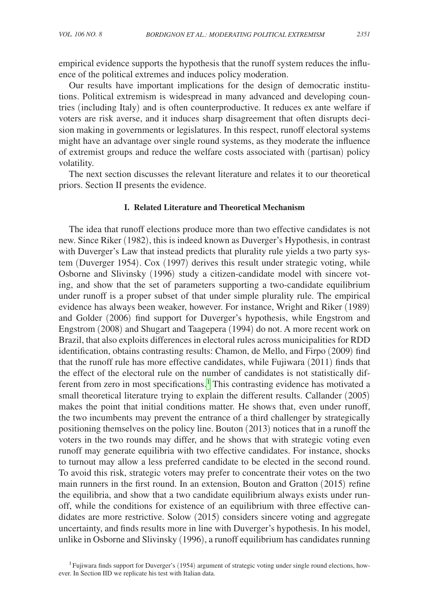empirical evidence supports the hypothesis that the runoff system reduces the influence of the political extremes and induces policy moderation.

Our results have important implications for the design of democratic institutions. Political extremism is widespread in many advanced and developing countries (including Italy) and is often counterproductive. It reduces ex ante welfare if voters are risk averse, and it induces sharp disagreement that often disrupts decision making in governments or legislatures. In this respect, runoff electoral systems might have an advantage over single round systems, as they moderate the influence of extremist groups and reduce the welfare costs associated with (partisan) policy volatility.

The next section discusses the relevant literature and relates it to our theoretical priors. Section II presents the evidence.

### **I. Related Literature and Theoretical Mechanism**

The idea that runoff elections produce more than two effective candidates is not new. Since Riker (1982), this is indeed known as Duverger's Hypothesis, in contrast with Duverger's Law that instead predicts that plurality rule yields a two party system (Duverger 1954). Cox (1997) derives this result under strategic voting, while Osborne and Slivinsky (1996) study a citizen-candidate model with sincere voting, and show that the set of parameters supporting a two-candidate equilibrium under runoff is a proper subset of that under simple plurality rule. The empirical evidence has always been weaker, however. For instance, Wright and Riker (1989) and Golder (2006) find support for Duverger's hypothesis, while Engstrom and Engstrom (2008) and Shugart and Taagepera (1994) do not. A more recent work on Brazil, that also exploits differences in electoral rules across municipalities for RDD identification, obtains contrasting results: Chamon, de Mello, and Firpo (2009) find that the runoff rule has more effective candidates, while Fujiwara (2011) finds that the effect of the electoral rule on the number of candidates is not statistically dif-ferent from zero in most specifications.<sup>[1](#page-2-0)</sup> This contrasting evidence has motivated a small theoretical literature trying to explain the different results. Callander (2005) makes the point that initial conditions matter. He shows that, even under runoff, the two incumbents may prevent the entrance of a third challenger by strategically positioning themselves on the policy line. Bouton (2013) notices that in a runoff the voters in the two rounds may differ, and he shows that with strategic voting even runoff may generate equilibria with two effective candidates. For instance, shocks to turnout may allow a less preferred candidate to be elected in the second round. To avoid this risk, strategic voters may prefer to concentrate their votes on the two main runners in the first round. In an extension, Bouton and Gratton (2015) refine the equilibria, and show that a two candidate equilibrium always exists under runoff, while the conditions for existence of an equilibrium with three effective candidates are more restrictive. Solow (2015) considers sincere voting and aggregate uncertainty, and finds results more in line with Duverger's hypothesis. In his model, unlike in Osborne and Slivinsky (1996), a runoff equilibrium has candidates running

<span id="page-2-0"></span><sup>1</sup>Fujiwara finds support for Duverger's (1954) argument of strategic voting under single round elections, however. In Section IID we replicate his test with Italian data.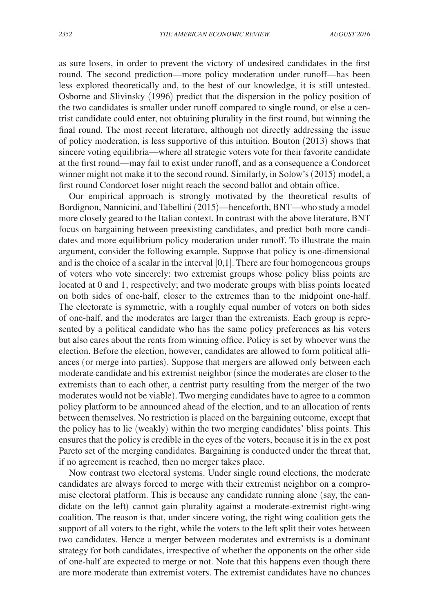as sure losers, in order to prevent the victory of undesired candidates in the first round. The second prediction—more policy moderation under runoff—has been less explored theoretically and, to the best of our knowledge, it is still untested. Osborne and Slivinsky (1996) predict that the dispersion in the policy position of the two candidates is smaller under runoff compared to single round, or else a centrist candidate could enter, not obtaining plurality in the first round, but winning the final round. The most recent literature, although not directly addressing the issue of policy moderation, is less supportive of this intuition. Bouton (2013) shows that sincere voting equilibria—where all strategic voters vote for their favorite candidate at the first round—may fail to exist under runoff, and as a consequence a Condorcet winner might not make it to the second round. Similarly, in Solow's (2015) model, a first round Condorcet loser might reach the second ballot and obtain office.

Our empirical approach is strongly motivated by the theoretical results of Bordignon, Nannicini, and Tabellini (2015)—henceforth, BNT—who study a model more closely geared to the Italian context. In contrast with the above literature, BNT focus on bargaining between preexisting candidates, and predict both more candidates and more equilibrium policy moderation under runoff. To illustrate the main argument, consider the following example. Suppose that policy is one-dimensional and is the choice of a scalar in the interval  $[0,1]$ . There are four homogeneous groups of voters who vote sincerely: two extremist groups whose policy bliss points are located at 0 and 1, respectively; and two moderate groups with bliss points located on both sides of one-half, closer to the extremes than to the midpoint one-half. The electorate is symmetric, with a roughly equal number of voters on both sides of one-half, and the moderates are larger than the extremists. Each group is represented by a political candidate who has the same policy preferences as his voters but also cares about the rents from winning office. Policy is set by whoever wins the election. Before the election, however, candidates are allowed to form political alliances (or merge into parties). Suppose that mergers are allowed only between each moderate candidate and his extremist neighbor (since the moderates are closer to the extremists than to each other, a centrist party resulting from the merger of the two moderates would not be viable). Two merging candidates have to agree to a common policy platform to be announced ahead of the election, and to an allocation of rents between themselves. No restriction is placed on the bargaining outcome, except that the policy has to lie (weakly) within the two merging candidates' bliss points. This ensures that the policy is credible in the eyes of the voters, because it is in the ex post Pareto set of the merging candidates. Bargaining is conducted under the threat that, if no agreement is reached, then no merger takes place.

Now contrast two electoral systems. Under single round elections, the moderate candidates are always forced to merge with their extremist neighbor on a compromise electoral platform. This is because any candidate running alone (say, the candidate on the left) cannot gain plurality against a moderate-extremist right-wing coalition. The reason is that, under sincere voting, the right wing coalition gets the support of all voters to the right, while the voters to the left split their votes between two candidates. Hence a merger between moderates and extremists is a dominant strategy for both candidates, irrespective of whether the opponents on the other side of one-half are expected to merge or not. Note that this happens even though there are more moderate than extremist voters. The extremist candidates have no chances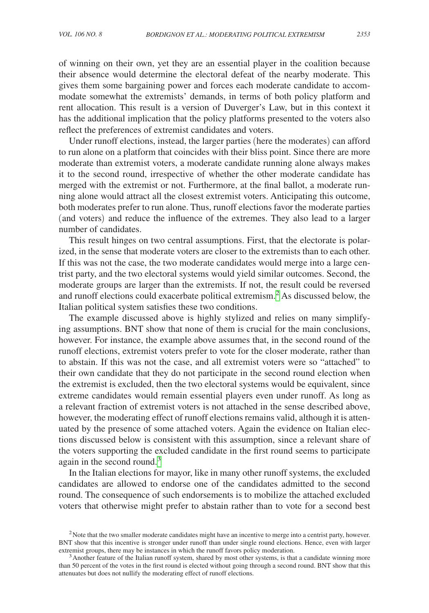of winning on their own, yet they are an essential player in the coalition because their absence would determine the electoral defeat of the nearby moderate. This gives them some bargaining power and forces each moderate candidate to accommodate somewhat the extremists' demands, in terms of both policy platform and rent allocation. This result is a version of Duverger's Law, but in this context it has the additional implication that the policy platforms presented to the voters also reflect the preferences of extremist candidates and voters.

Under runoff elections, instead, the larger parties (here the moderates) can afford to run alone on a platform that coincides with their bliss point. Since there are more moderate than extremist voters, a moderate candidate running alone always makes it to the second round, irrespective of whether the other moderate candidate has merged with the extremist or not. Furthermore, at the final ballot, a moderate running alone would attract all the closest extremist voters. Anticipating this outcome, both moderates prefer to run alone. Thus, runoff elections favor the moderate parties (and voters) and reduce the influence of the extremes. They also lead to a larger number of candidates.

This result hinges on two central assumptions. First, that the electorate is polarized, in the sense that moderate voters are closer to the extremists than to each other. If this was not the case, the two moderate candidates would merge into a large centrist party, and the two electoral systems would yield similar outcomes. Second, the moderate groups are larger than the extremists. If not, the result could be reversed and runoff elections could exacerbate political extremism.[2](#page-4-0) As discussed below, the Italian political system satisfies these two conditions.

The example discussed above is highly stylized and relies on many simplifying assumptions. BNT show that none of them is crucial for the main conclusions, however. For instance, the example above assumes that, in the second round of the runoff elections, extremist voters prefer to vote for the closer moderate, rather than to abstain. If this was not the case, and all extremist voters were so "attached" to their own candidate that they do not participate in the second round election when the extremist is excluded, then the two electoral systems would be equivalent, since extreme candidates would remain essential players even under runoff. As long as a relevant fraction of extremist voters is not attached in the sense described above, however, the moderating effect of runoff elections remains valid, although it is attenuated by the presence of some attached voters. Again the evidence on Italian elections discussed below is consistent with this assumption, since a relevant share of the voters supporting the excluded candidate in the first round seems to participate again in the second round.<sup>[3](#page-4-1)</sup>

In the Italian elections for mayor, like in many other runoff systems, the excluded candidates are allowed to endorse one of the candidates admitted to the second round. The consequence of such endorsements is to mobilize the attached excluded voters that otherwise might prefer to abstain rather than to vote for a second best

<span id="page-4-0"></span><sup>&</sup>lt;sup>2</sup>Note that the two smaller moderate candidates might have an incentive to merge into a centrist party, however. BNT show that this incentive is stronger under runoff than under single round elections. Hence, even with larger extremist groups, there may be instances in which the runoff favors policy moderation.

<span id="page-4-1"></span> $3$  Another feature of the Italian runoff system, shared by most other systems, is that a candidate winning more than 50 percent of the votes in the first round is elected without going through a second round. BNT show that this attenuates but does not nullify the moderating effect of runoff elections.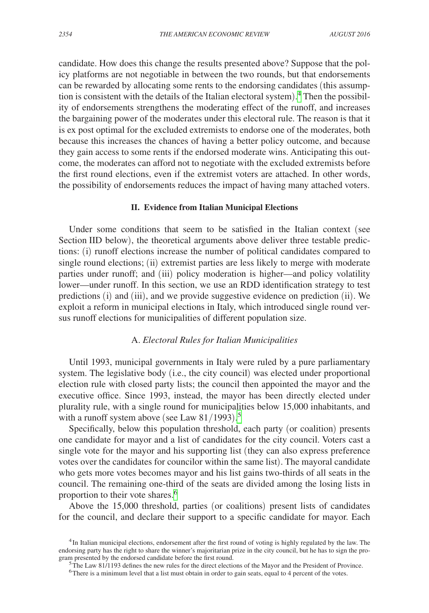candidate. How does this change the results presented above? Suppose that the policy platforms are not negotiable in between the two rounds, but that endorsements can be rewarded by allocating some rents to the endorsing candidates (this assumption is consistent with the details of the Italian electoral system). [4](#page-5-0) Then the possibility of endorsements strengthens the moderating effect of the runoff, and increases the bargaining power of the moderates under this electoral rule. The reason is that it is ex post optimal for the excluded extremists to endorse one of the moderates, both because this increases the chances of having a better policy outcome, and because they gain access to some rents if the endorsed moderate wins. Anticipating this outcome, the moderates can afford not to negotiate with the excluded extremists before the first round elections, even if the extremist voters are attached. In other words, the possibility of endorsements reduces the impact of having many attached voters.

#### **II. Evidence from Italian Municipal Elections**

Under some conditions that seem to be satisfied in the Italian context (see Section IID below), the theoretical arguments above deliver three testable predictions: (i) runoff elections increase the number of political candidates compared to single round elections; (ii) extremist parties are less likely to merge with moderate parties under runoff; and (iii) policy moderation is higher—and policy volatility lower—under runoff. In this section, we use an RDD identification strategy to test predictions (i) and (iii), and we provide suggestive evidence on prediction (ii). We exploit a reform in municipal elections in Italy, which introduced single round versus runoff elections for municipalities of different population size.

## A. *Electoral Rules for Italian Municipalities*

Until 1993, municipal governments in Italy were ruled by a pure parliamentary system. The legislative body (i.e., the city council) was elected under proportional election rule with closed party lists; the council then appointed the mayor and the executive office. Since 1993, instead, the mayor has been directly elected under plurality rule, with a single round for municipalities below 15,000 inhabitants, and with a runoff system above (see Law  $81/1993$ ).<sup>[5](#page-5-1)</sup>

Specifically, below this population threshold, each party (or coalition) presents one candidate for mayor and a list of candidates for the city council. Voters cast a single vote for the mayor and his supporting list (they can also express preference votes over the candidates for councilor within the same list). The mayoral candidate who gets more votes becomes mayor and his list gains two-thirds of all seats in the council. The remaining one-third of the seats are divided among the losing lists in proportion to their vote shares.<sup>[6](#page-5-2)</sup>

Above the 15,000 threshold, parties (or coalitions) present lists of candidates for the council, and declare their support to a specific candidate for mayor. Each

<span id="page-5-0"></span><sup>&</sup>lt;sup>4</sup>In Italian municipal elections, endorsement after the first round of voting is highly regulated by the law. The endorsing party has the right to share the winner's majoritarian prize in the city council, but he has to sign the pro-

<span id="page-5-2"></span><span id="page-5-1"></span> $5$ The Law 81/1193 defines the new rules for the direct elections of the Mayor and the President of Province. <sup>6</sup>There is a minimum level that a list must obtain in order to gain seats, equal to 4 percent of the votes.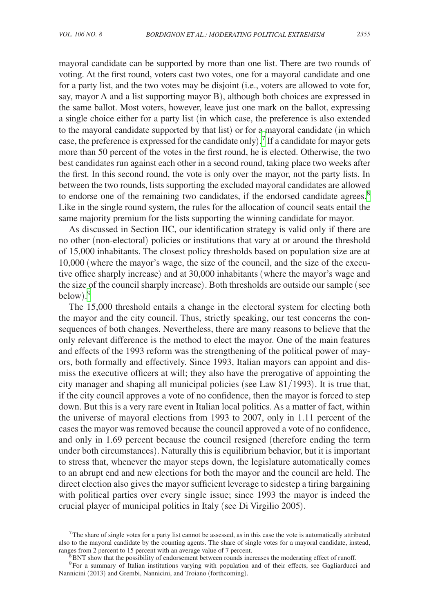mayoral candidate can be supported by more than one list. There are two rounds of voting. At the first round, voters cast two votes, one for a mayoral candidate and one for a party list, and the two votes may be disjoint (i.e., voters are allowed to vote for, say, mayor A and a list supporting mayor B), although both choices are expressed in the same ballot. Most voters, however, leave just one mark on the ballot, expressing a single choice either for a party list (in which case, the preference is also extended to the mayoral candidate supported by that list) or for a mayoral candidate (in which case, the preference is expressed for the candidate only). [7](#page-6-0) If a candidate for mayor gets more than 50 percent of the votes in the first round, he is elected. Otherwise, the two best candidates run against each other in a second round, taking place two weeks after the first. In this second round, the vote is only over the mayor, not the party lists. In between the two rounds, lists supporting the excluded mayoral candidates are allowed to endorse one of the remaining two candidates, if the endorsed candidate agrees.<sup>[8](#page-6-1)</sup> Like in the single round system, the rules for the allocation of council seats entail the same majority premium for the lists supporting the winning candidate for mayor.

As discussed in Section IIC, our identification strategy is valid only if there are no other (non-electoral) policies or institutions that vary at or around the threshold of 15,000 inhabitants. The closest policy thresholds based on population size are at 10,000 (where the mayor's wage, the size of the council, and the size of the executive office sharply increase) and at 30,000 inhabitants (where the mayor's wage and the size of the council sharply increase). Both thresholds are outside our sample (see below). [9](#page-6-2)

The 15,000 threshold entails a change in the electoral system for electing both the mayor and the city council. Thus, strictly speaking, our test concerns the consequences of both changes. Nevertheless, there are many reasons to believe that the only relevant difference is the method to elect the mayor. One of the main features and effects of the 1993 reform was the strengthening of the political power of mayors, both formally and effectively. Since 1993, Italian mayors can appoint and dismiss the executive officers at will; they also have the prerogative of appointing the city manager and shaping all municipal policies (see Law 81/1993). It is true that, if the city council approves a vote of no confidence, then the mayor is forced to step down. But this is a very rare event in Italian local politics. As a matter of fact, within the universe of mayoral elections from 1993 to 2007, only in 1.11 percent of the cases the mayor was removed because the council approved a vote of no confidence, and only in 1.69 percent because the council resigned (therefore ending the term under both circumstances). Naturally this is equilibrium behavior, but it is important to stress that, whenever the mayor steps down, the legislature automatically comes to an abrupt end and new elections for both the mayor and the council are held. The direct election also gives the mayor sufficient leverage to sidestep a tiring bargaining with political parties over every single issue; since 1993 the mayor is indeed the crucial player of municipal politics in Italy (see Di Virgilio 2005).

<span id="page-6-0"></span> $7$ The share of single votes for a party list cannot be assessed, as in this case the vote is automatically attributed also to the mayoral candidate by the counting agents. The share of single votes for a mayoral candidate, instead, ranges from 2 percent to 15 percent with an average value of 7 percent.

<span id="page-6-2"></span><span id="page-6-1"></span> $8$  BNT show that the possibility of endorsement between rounds increases the moderating effect of runoff.

<sup>&</sup>lt;sup>9</sup>For a summary of Italian institutions varying with population and of their effects, see Gagliarducci and Nannicini (2013) and Grembi, Nannicini, and Troiano (forthcoming).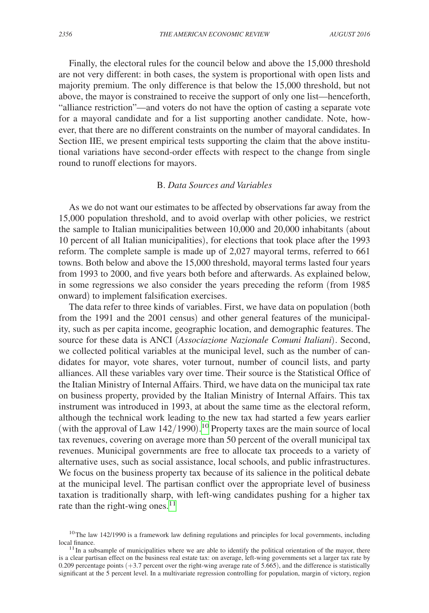Finally, the electoral rules for the council below and above the 15,000 threshold are not very different: in both cases, the system is proportional with open lists and majority premium. The only difference is that below the 15,000 threshold, but not above, the mayor is constrained to receive the support of only one list—henceforth, "alliance restriction"—and voters do not have the option of casting a separate vote for a mayoral candidate and for a list supporting another candidate. Note, however, that there are no different constraints on the number of mayoral candidates. In Section IIE, we present empirical tests supporting the claim that the above institutional variations have second-order effects with respect to the change from single round to runoff elections for mayors.

## B. *Data Sources and Variables*

As we do not want our estimates to be affected by observations far away from the 15,000 population threshold, and to avoid overlap with other policies, we restrict the sample to Italian municipalities between 10,000 and 20,000 inhabitants (about 10 percent of all Italian municipalities), for elections that took place after the 1993 reform. The complete sample is made up of 2,027 mayoral terms, referred to 661 towns. Both below and above the 15,000 threshold, mayoral terms lasted four years from 1993 to 2000, and five years both before and afterwards. As explained below, in some regressions we also consider the years preceding the reform (from 1985 onward) to implement falsification exercises.

The data refer to three kinds of variables. First, we have data on population (both from the 1991 and the 2001 census) and other general features of the municipality, such as per capita income, geographic location, and demographic features. The source for these data is ANCI (*Associazione Nazionale Comuni Italiani*). Second, we collected political variables at the municipal level, such as the number of candidates for mayor, vote shares, voter turnout, number of council lists, and party alliances. All these variables vary over time. Their source is the Statistical Office of the Italian Ministry of Internal Affairs. Third, we have data on the municipal tax rate on business property, provided by the Italian Ministry of Internal Affairs. This tax instrument was introduced in 1993, at about the same time as the electoral reform, although the technical work leading to the new tax had started a few years earlier (with the approval of Law 142/1990). [10](#page-7-0) Property taxes are the main source of local tax revenues, covering on average more than 50 percent of the overall municipal tax revenues. Municipal governments are free to allocate tax proceeds to a variety of alternative uses, such as social assistance, local schools, and public infrastructures. We focus on the business property tax because of its salience in the political debate at the municipal level. The partisan conflict over the appropriate level of business taxation is traditionally sharp, with left-wing candidates pushing for a higher tax rate than the right-wing ones. $11$ 

<span id="page-7-0"></span> $10$ The law 142/1990 is a framework law defining regulations and principles for local governments, including local finance.

<span id="page-7-1"></span> $11$ In a subsample of municipalities where we are able to identify the political orientation of the mayor, there is a clear partisan effect on the business real estate tax: on average, left-wing governments set a larger tax rate by 0.209 percentage points (+3.7 percent over the right-wing average rate of 5.665), and the difference is statistically significant at the 5 percent level. In a multivariate regression controlling for population, margin of victory, region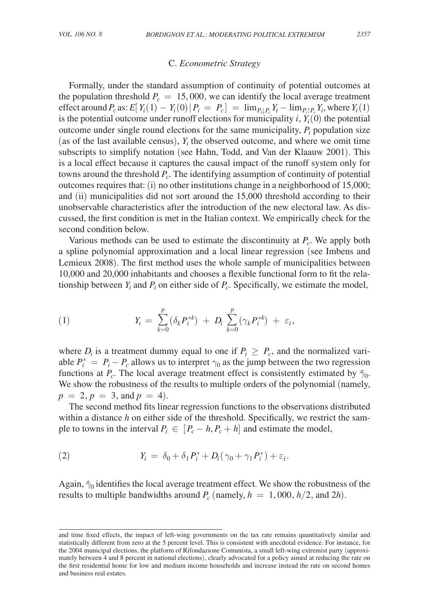#### C. *Econometric Strategy*

Formally, under the standard assumption of continuity of potential outcomes at the population threshold  $P_c = 15,000$ , we can identify the local average treatment  $\text{effect around } P_c \text{ as: } E[Y_i(1) - Y_i(0) | P_i = P_c] = \lim_{P_i \downarrow P_c} Y_i - \lim_{P_i \uparrow P_c} Y_i$ , where  $Y_i(1)$ is the potential outcome under runoff elections for municipality  $i$ ,  $Y_i(0)$  the potential outcome under single round elections for the same municipality,  $P_i$  population size (as of the last available census),  $Y_i$  the observed outcome, and where we omit time subscripts to simplify notation (see Hahn, Todd, and Van der Klaauw 2001). This is a local effect because it captures the causal impact of the runoff system only for towns around the threshold *Pc*. The identifying assumption of continuity of potential outcomes requires that: (i) no other institutions change in a neighborhood of 15,000; and (ii) municipalities did not sort around the 15,000 threshold according to their unobservable characteristics after the introduction of the new electoral law. As discussed, the first condition is met in the Italian context. We empirically check for the second condition below.

Various methods can be used to estimate the discontinuity at  $P_c$ . We apply both a spline polynomial approximation and a local linear regression (see Imbens and Lemieux 2008). The first method uses the whole sample of municipalities between 10,000 and 20,000 inhabitants and chooses a flexible functional form to fit the relationship between  $Y_i$  and  $P_i$  on either side of  $P_c$ . Specifically, we estimate the model,

(1) 
$$
Y_i = \sum_{k=0}^p (\delta_k P_i^{*k}) + D_i \sum_{k=0}^p (\gamma_k P_i^{*k}) + \varepsilon_i,
$$

where  $D_i$  is a treatment dummy equal to one if  $P_i \geq P_c$ , and the normalized variable  $P_i^* = P_i - P_c$  allows us to interpret  $\gamma_0$  as the jump between the two regression functions at  $P_c$ . The local average treatment effect is consistently estimated by  $\hat{\gamma}_0$ . We show the robustness of the results to multiple orders of the polynomial (namely,  $p = 2, p = 3, \text{ and } p = 4$ .

The second method fits linear regression functions to the observations distributed within a distance *h* on either side of the threshold. Specifically, we restrict the sample to towns in the interval  $P_i \in [P_c - h, P_c + h]$  and estimate the model,

(2) 
$$
Y_i = \delta_0 + \delta_1 P_i^* + D_i(\gamma_0 + \gamma_1 P_i^*) + \varepsilon_i.
$$

Again,  $\hat{\gamma}_0$  identifies the local average treatment effect. We show the robustness of the results to multiple bandwidths around  $P_c$  (namely,  $h = 1,000, h/2$ , and 2*h*).

and time fixed effects, the impact of left-wing governments on the tax rate remains quantitatively similar and statistically different from zero at the 5 percent level. This is consistent with anecdotal evidence. For instance, for the 2004 municipal elections, the platform of Rifondazione Comunista, a small left-wing extremist party (approximately between 4 and 8 percent in national elections), clearly advocated for a policy aimed at reducing the rate on the first residential home for low and medium income households and increase instead the rate on second homes and business real estates.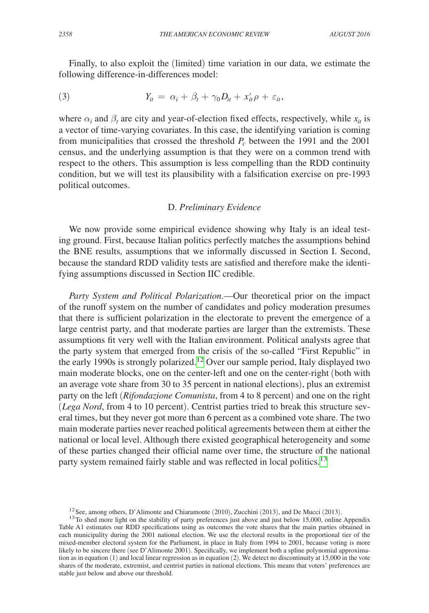Finally, to also exploit the (limited) time variation in our data, we estimate the following difference-in-differences model:

(3) 
$$
Y_{it} = \alpha_i + \beta_t + \gamma_0 D_{it} + x'_{it} \rho + \varepsilon_{it},
$$

where  $\alpha_i$  and  $\beta_t$  are city and year-of-election fixed effects, respectively, while  $x_{it}$  is a vector of time-varying covariates. In this case, the identifying variation is coming from municipalities that crossed the threshold  $P_c$  between the 1991 and the 2001 census, and the underlying assumption is that they were on a common trend with respect to the others. This assumption is less compelling than the RDD continuity condition, but we will test its plausibility with a falsification exercise on pre-1993 political outcomes.

#### D. *Preliminary Evidence*

We now provide some empirical evidence showing why Italy is an ideal testing ground. First, because Italian politics perfectly matches the assumptions behind the BNE results, assumptions that we informally discussed in Section I. Second, because the standard RDD validity tests are satisfied and therefore make the identifying assumptions discussed in Section IIC credible.

*Party System and Political Polarization*.—Our theoretical prior on the impact of the runoff system on the number of candidates and policy moderation presumes that there is sufficient polarization in the electorate to prevent the emergence of a large centrist party, and that moderate parties are larger than the extremists. These assumptions fit very well with the Italian environment. Political analysts agree that the party system that emerged from the crisis of the so-called "First Republic" in the early 1990s is strongly polarized.[12](#page-9-0) Over our sample period, Italy displayed two main moderate blocks, one on the center-left and one on the center-right (both with an average vote share from 30 to 35 percent in national elections), plus an extremist party on the left (*Rifondazione Comunista*, from 4 to 8 percent) and one on the right (*Lega Nord*, from 4 to 10 percent). Centrist parties tried to break this structure several times, but they never got more than 6 percent as a combined vote share. The two main moderate parties never reached political agreements between them at either the national or local level. Although there existed geographical heterogeneity and some of these parties changed their official name over time, the structure of the national party system remained fairly stable and was reflected in local politics.<sup>[13](#page-9-1)</sup>

<span id="page-9-1"></span><span id="page-9-0"></span>

<sup>&</sup>lt;sup>12</sup> See, among others, D'Alimonte and Chiaramonte (2010), Zucchini (2013), and De Mucci (2013). <sup>13</sup>To shed more light on the stability of party preferences just above and just below 15,000, online Appendix Table A1 estimates our RDD specifications using as outcomes the vote shares that the main parties obtained in each municipality during the 2001 national election. We use the electoral results in the proportional tier of the mixed-member electoral system for the Parliament, in place in Italy from 1994 to 2001, because voting is more likely to be sincere there (see D'Alimonte 2001). Specifically, we implement both a spline polynomial approximation as in equation (1) and local linear regression as in equation (2). We detect no discontinuity at 15,000 in the vote shares of the moderate, extremist, and centrist parties in national elections. This means that voters' preferences are stable just below and above our threshold.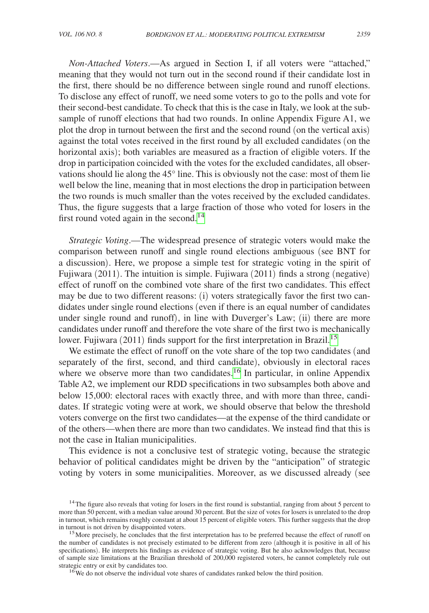*Non-Attached Voters*.—As argued in Section I, if all voters were "attached," meaning that they would not turn out in the second round if their candidate lost in the first, there should be no difference between single round and runoff elections. To disclose any effect of runoff, we need some voters to go to the polls and vote for their second-best candidate. To check that this is the case in Italy, we look at the subsample of runoff elections that had two rounds. In online Appendix Figure A1, we plot the drop in turnout between the first and the second round (on the vertical axis) against the total votes received in the first round by all excluded candidates (on the horizontal axis); both variables are measured as a fraction of eligible voters. If the drop in participation coincided with the votes for the excluded candidates, all observations should lie along the 45° line. This is obviously not the case: most of them lie well below the line, meaning that in most elections the drop in participation between the two rounds is much smaller than the votes received by the excluded candidates. Thus, the figure suggests that a large fraction of those who voted for losers in the first round voted again in the second.<sup>[14](#page-10-0)</sup>

*Strategic Voting*.—The widespread presence of strategic voters would make the comparison between runoff and single round elections ambiguous (see BNT for a discussion). Here, we propose a simple test for strategic voting in the spirit of Fujiwara (2011). The intuition is simple. Fujiwara (2011) finds a strong (negative) effect of runoff on the combined vote share of the first two candidates. This effect may be due to two different reasons: (i) voters strategically favor the first two candidates under single round elections (even if there is an equal number of candidates under single round and runoff), in line with Duverger's Law; (ii) there are more candidates under runoff and therefore the vote share of the first two is mechanically lower. Fujiwara (2011) finds support for the first interpretation in Brazil.<sup>[15](#page-10-1)</sup>

We estimate the effect of runoff on the vote share of the top two candidates (and separately of the first, second, and third candidate), obviously in electoral races where we observe more than two candidates.<sup>16</sup> In particular, in online Appendix Table A2, we implement our RDD specifications in two subsamples both above and below 15,000: electoral races with exactly three, and with more than three, candidates. If strategic voting were at work, we should observe that below the threshold voters converge on the first two candidates—at the expense of the third candidate or of the others—when there are more than two candidates. We instead find that this is not the case in Italian municipalities.

This evidence is not a conclusive test of strategic voting, because the strategic behavior of political candidates might be driven by the "anticipation" of strategic voting by voters in some municipalities. Moreover, as we discussed already (see

<span id="page-10-0"></span><sup>&</sup>lt;sup>14</sup>The figure also reveals that voting for losers in the first round is substantial, ranging from about 5 percent to more than 50 percent, with a median value around 30 percent. But the size of votes for losers is unrelated to the drop in turnout, which remains roughly constant at about  $15$  percent of eligible voters. This further suggests that the drop in turnout is not driven by disappointed voters.

<span id="page-10-1"></span><sup>&</sup>lt;sup>15</sup> More precisely, he concludes that the first interpretation has to be preferred because the effect of runoff on the number of candidates is not precisely estimated to be different from zero (although it is positive in all of his specifications). He interprets his findings as evidence of strategic voting. But he also acknowledges that, because of sample size limitations at the Brazilian threshold of 200,000 registered voters, he cannot completely rule out strategic entry or exit by candidates too.<br><sup>16</sup>We do not observe the individual vote shares of candidates ranked below the third position.

<span id="page-10-2"></span>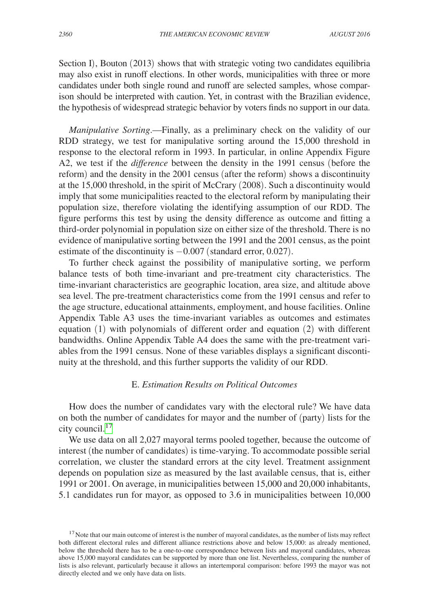Section I), Bouton (2013) shows that with strategic voting two candidates equilibria may also exist in runoff elections. In other words, municipalities with three or more candidates under both single round and runoff are selected samples, whose comparison should be interpreted with caution. Yet, in contrast with the Brazilian evidence, the hypothesis of widespread strategic behavior by voters finds no support in our data.

*Manipulative Sorting*.—Finally, as a preliminary check on the validity of our RDD strategy, we test for manipulative sorting around the 15,000 threshold in response to the electoral reform in 1993. In particular, in online Appendix Figure A2, we test if the *difference* between the density in the 1991 census (before the reform) and the density in the 2001 census (after the reform) shows a discontinuity at the 15,000 threshold, in the spirit of McCrary (2008). Such a discontinuity would imply that some municipalities reacted to the electoral reform by manipulating their population size, therefore violating the identifying assumption of our RDD. The figure performs this test by using the density difference as outcome and fitting a third-order polynomial in population size on either size of the threshold. There is no evidence of manipulative sorting between the 1991 and the 2001 census, as the point estimate of the discontinuity is −0.007 (standard error, 0.027).

To further check against the possibility of manipulative sorting, we perform balance tests of both time-invariant and pre-treatment city characteristics. The time-invariant characteristics are geographic location, area size, and altitude above sea level. The pre-treatment characteristics come from the 1991 census and refer to the age structure, educational attainments, employment, and house facilities. Online Appendix Table A3 uses the time-invariant variables as outcomes and estimates equation (1) with polynomials of different order and equation (2) with different bandwidths. Online Appendix Table A4 does the same with the pre-treatment variables from the 1991 census. None of these variables displays a significant discontinuity at the threshold, and this further supports the validity of our RDD.

# E. *Estimation Results on Political Outcomes*

How does the number of candidates vary with the electoral rule? We have data on both the number of candidates for mayor and the number of (party) lists for the city council[.17](#page-11-0)

We use data on all 2,027 mayoral terms pooled together, because the outcome of interest (the number of candidates) is time-varying. To accommodate possible serial correlation, we cluster the standard errors at the city level. Treatment assignment depends on population size as measured by the last available census, that is, either 1991 or 2001. On average, in municipalities between 15,000 and 20,000 inhabitants, 5.1 candidates run for mayor, as opposed to 3.6 in municipalities between 10,000

<span id="page-11-0"></span> $17$  Note that our main outcome of interest is the number of mayoral candidates, as the number of lists may reflect both different electoral rules and different alliance restrictions above and below 15,000: as already mentioned, below the threshold there has to be a one-to-one correspondence between lists and mayoral candidates, whereas above 15,000 mayoral candidates can be supported by more than one list. Nevertheless, comparing the number of lists is also relevant, particularly because it allows an intertemporal comparison: before 1993 the mayor was not directly elected and we only have data on lists.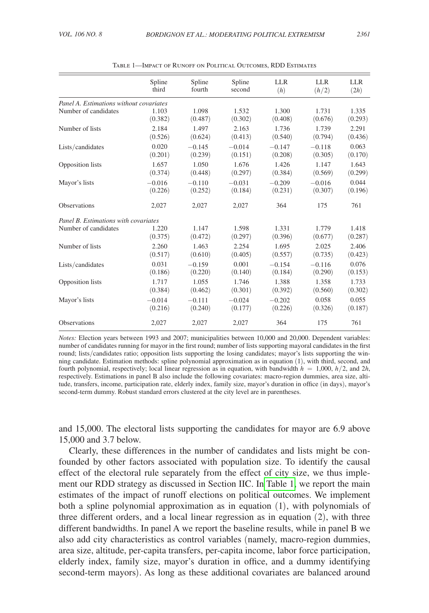|                                         | Spline   | Spline   | Spline   | <b>LLR</b> | <b>LLR</b> | <b>LLR</b> |
|-----------------------------------------|----------|----------|----------|------------|------------|------------|
|                                         | third    | fourth   | second   | (h)        | (h/2)      | (2h)       |
| Panel A. Estimations without covariates |          |          |          |            |            |            |
| Number of candidates                    | 1.103    | 1.098    | 1.532    | 1.300      | 1.731      | 1.335      |
|                                         | (0.382)  | (0.487)  | (0.302)  | (0.408)    | (0.676)    | (0.293)    |
| Number of lists                         | 2.184    | 1.497    | 2.163    | 1.736      | 1.739      | 2.291      |
|                                         | (0.526)  | (0.624)  | (0.413)  | (0.540)    | (0.794)    | (0.436)    |
| Lists/candidates                        | 0.020    | $-0.145$ | $-0.014$ | $-0.147$   | $-0.118$   | 0.063      |
|                                         | (0.201)  | (0.239)  | (0.151)  | (0.208)    | (0.305)    | (0.170)    |
| <b>Opposition</b> lists                 | 1.657    | 1.050    | 1.676    | 1.426      | 1.147      | 1.643      |
|                                         | (0.374)  | (0.448)  | (0.297)  | (0.384)    | (0.569)    | (0.299)    |
| Mayor's lists                           | $-0.016$ | $-0.110$ | $-0.031$ | $-0.209$   | $-0.016$   | 0.044      |
|                                         | (0.226)  | (0.252)  | (0.184)  | (0.231)    | (0.307)    | (0.196)    |
| <b>Observations</b>                     | 2,027    | 2,027    | 2,027    | 364        | 175        | 761        |
| Panel B. Estimations with covariates    |          |          |          |            |            |            |
| Number of candidates                    | 1.220    | 1.147    | 1.598    | 1.331      | 1.779      | 1.418      |
|                                         | (0.375)  | (0.472)  | (0.297)  | (0.396)    | (0.677)    | (0.287)    |
| Number of lists                         | 2.260    | 1.463    | 2.254    | 1.695      | 2.025      | 2.406      |
|                                         | (0.517)  | (0.610)  | (0.405)  | (0.557)    | (0.735)    | (0.423)    |
| Lists/candidates                        | 0.031    | $-0.159$ | 0.001    | $-0.154$   | $-0.116$   | 0.076      |
|                                         | (0.186)  | (0.220)  | (0.140)  | (0.184)    | (0.290)    | (0.153)    |
| Opposition lists                        | 1.717    | 1.055    | 1.746    | 1.388      | 1.358      | 1.733      |
|                                         | (0.384)  | (0.462)  | (0.301)  | (0.392)    | (0.560)    | (0.302)    |
| Mayor's lists                           | $-0.014$ | $-0.111$ | $-0.024$ | $-0.202$   | 0.058      | 0.055      |
|                                         | (0.216)  | (0.240)  | (0.177)  | (0.226)    | (0.326)    | (0.187)    |
| Observations                            | 2,027    | 2,027    | 2,027    | 364        | 175        | 761        |

Table 1—Impact of Runoff on Political Outcomes, RDD Estimates

*Notes:* Election years between 1993 and 2007; municipalities between 10,000 and 20,000. Dependent variables: number of candidates running for mayor in the first round; number of lists supporting mayoral candidates in the first round; lists/candidates ratio; opposition lists supporting the losing candidates; mayor's lists supporting the winning candidate. Estimation methods: spline polynomial approximation as in equation (1), with third, second, and fourth polynomial, respectively; local linear regression as in equation, with bandwidth  $h = 1,000$ ,  $h/2$ , and 2*h*, respectively. Estimations in panel B also include the following covariates: macro-region dummies, area size, altitude, transfers, income, participation rate, elderly index, family size, mayor's duration in office (in days), mayor's second-term dummy. Robust standard errors clustered at the city level are in parentheses.

and 15,000. The electoral lists supporting the candidates for mayor are 6.9 above 15,000 and 3.7 below.

Clearly, these differences in the number of candidates and lists might be confounded by other factors associated with population size. To identify the causal effect of the electoral rule separately from the effect of city size, we thus implement our RDD strategy as discussed in Section IIC. In Table 1, we report the main estimates of the impact of runoff elections on political outcomes. We implement both a spline polynomial approximation as in equation (1), with polynomials of three different orders, and a local linear regression as in equation (2), with three different bandwidths. In panel A we report the baseline results, while in panel B we also add city characteristics as control variables (namely, macro-region dummies, area size, altitude, per-capita transfers, per-capita income, labor force participation, elderly index, family size, mayor's duration in office, and a dummy identifying second-term mayors). As long as these additional covariates are balanced around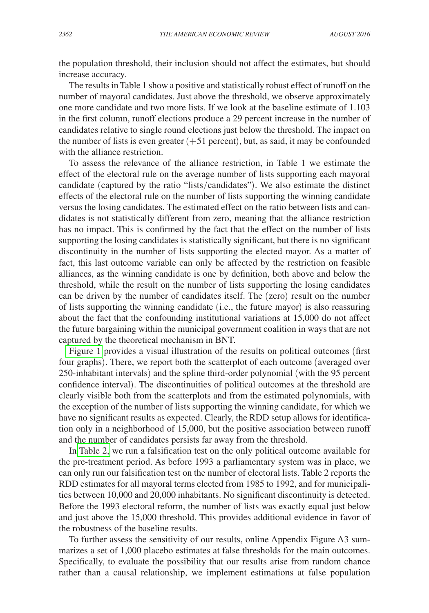the population threshold, their inclusion should not affect the estimates, but should increase accuracy.

The results in Table 1 show a positive and statistically robust effect of runoff on the number of mayoral candidates. Just above the threshold, we observe approximately one more candidate and two more lists. If we look at the baseline estimate of 1.103 in the first column, runoff elections produce a 29 percent increase in the number of candidates relative to single round elections just below the threshold. The impact on the number of lists is even greater  $(+51$  percent), but, as said, it may be confounded with the alliance restriction.

To assess the relevance of the alliance restriction, in Table 1 we estimate the effect of the electoral rule on the average number of lists supporting each mayoral candidate (captured by the ratio "lists/candidates"). We also estimate the distinct effects of the electoral rule on the number of lists supporting the winning candidate versus the losing candidates. The estimated effect on the ratio between lists and candidates is not statistically different from zero, meaning that the alliance restriction has no impact. This is confirmed by the fact that the effect on the number of lists supporting the losing candidates is statistically significant, but there is no significant discontinuity in the number of lists supporting the elected mayor. As a matter of fact, this last outcome variable can only be affected by the restriction on feasible alliances, as the winning candidate is one by definition, both above and below the threshold, while the result on the number of lists supporting the losing candidates can be driven by the number of candidates itself. The (zero) result on the number of lists supporting the winning candidate (i.e., the future mayor) is also reassuring about the fact that the confounding institutional variations at 15,000 do not affect the future bargaining within the municipal government coalition in ways that are not captured by the theoretical mechanism in BNT.

[Figure 1](#page-14-0) provides a visual illustration of the results on political outcomes (first four graphs). There, we report both the scatterplot of each outcome (averaged over 250-inhabitant intervals) and the spline third-order polynomial (with the 95 percent confidence interval). The discontinuities of political outcomes at the threshold are clearly visible both from the scatterplots and from the estimated polynomials, with the exception of the number of lists supporting the winning candidate, for which we have no significant results as expected. Clearly, the RDD setup allows for identification only in a neighborhood of 15,000, but the positive association between runoff and the number of candidates persists far away from the threshold.

In [Table 2,](#page-15-0) we run a falsification test on the only political outcome available for the pre-treatment period. As before 1993 a parliamentary system was in place, we can only run our falsification test on the number of electoral lists. Table 2 reports the RDD estimates for all mayoral terms elected from 1985 to 1992, and for municipalities between 10,000 and 20,000 inhabitants. No significant discontinuity is detected. Before the 1993 electoral reform, the number of lists was exactly equal just below and just above the 15,000 threshold. This provides additional evidence in favor of the robustness of the baseline results.

To further assess the sensitivity of our results, online Appendix Figure A3 summarizes a set of 1,000 placebo estimates at false thresholds for the main outcomes. Specifically, to evaluate the possibility that our results arise from random chance rather than a causal relationship, we implement estimations at false population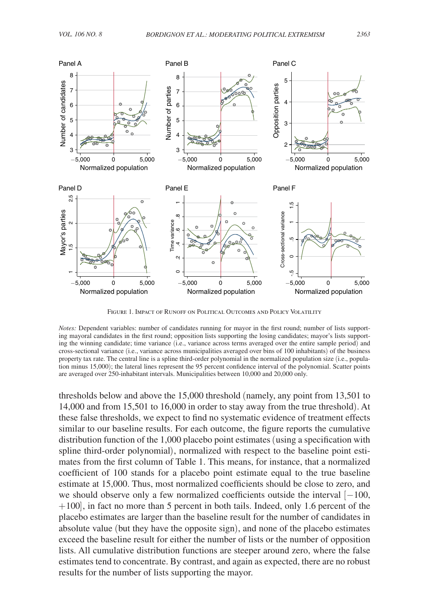<span id="page-14-0"></span>

Figure 1. Impact of Runoff on Political Outcomes and Policy Volatility

thresholds below and above the 15,000 threshold (namely, any point from 13,501 to 14,000 and from 15,501 to 16,000 in order to stay away from the true threshold). At these false thresholds, we expect to find no systematic evidence of treatment effects similar to our baseline results. For each outcome, the figure reports the cumulative distribution function of the 1,000 placebo point estimates (using a specification with spline third-order polynomial), normalized with respect to the baseline point estimates from the first column of Table 1. This means, for instance, that a normalized coefficient of 100 stands for a placebo point estimate equal to the true baseline estimate at 15,000. Thus, most normalized coefficients should be close to zero, and we should observe only a few normalized coefficients outside the interval [−100,  $+100$ , in fact no more than 5 percent in both tails. Indeed, only 1.6 percent of the placebo estimates are larger than the baseline result for the number of candidates in absolute value (but they have the opposite sign), and none of the placebo estimates exceed the baseline result for either the number of lists or the number of opposition lists. All cumulative distribution functions are steeper around zero, where the false estimates tend to concentrate. By contrast, and again as expected, there are no robust results for the number of lists supporting the mayor.

*Notes:* Dependent variables: number of candidates running for mayor in the first round; number of lists supporting mayoral candidates in the first round; opposition lists supporting the losing candidates; mayor's lists supporting the winning candidate; time variance (i.e., variance across terms averaged over the entire sample period) and cross-sectional variance (i.e., variance across municipalities averaged over bins of 100 inhabitants) of the business property tax rate. The central line is a spline third-order polynomial in the normalized population size (i.e., population minus 15,000); the lateral lines represent the 95 percent confidence interval of the polynomial. Scatter points are averaged over 250-inhabitant intervals. Municipalities between 10,000 and 20,000 only.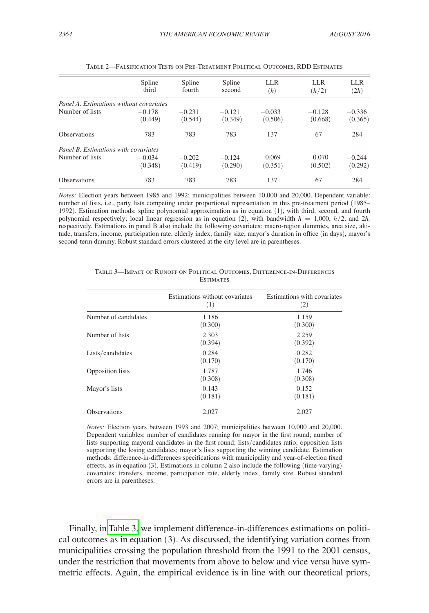<span id="page-15-0"></span>

|                                         | Spline<br>third     | Spline<br>fourth    | Spline<br>second    | LLR.<br>(h)         | LLR.<br>(h/2)       | LLR.<br>(2h)        |
|-----------------------------------------|---------------------|---------------------|---------------------|---------------------|---------------------|---------------------|
| Panel A. Estimations without covariates |                     |                     |                     |                     |                     |                     |
| Number of lists                         | $-0.178$<br>(0.449) | $-0.231$<br>(0.544) | $-0.121$<br>(0.349) | $-0.033$<br>(0.506) | $-0.128$<br>(0.668) | $-0.336$<br>(0.365) |
| <b>Observations</b>                     | 783                 | 783                 | 783                 | 137                 | 67                  | 284                 |
| Panel B. Estimations with covariates    |                     |                     |                     |                     |                     |                     |
| Number of lists                         | $-0.034$<br>(0.348) | $-0.202$<br>(0.419) | $-0.124$<br>(0.290) | 0.069<br>(0.351)    | 0.070<br>(0.502)    | $-0.244$<br>(0.292) |
| <b>Observations</b>                     | 783                 | 783                 | 783                 | 137                 | 67                  | 284                 |

Table 2—Falsification Tests on Pre-Treatment Political Outcomes, RDD Estimates

*Notes:* Election years between 1985 and 1992; municipalities between 10,000 and 20,000. Dependent variable: number of lists, i.e., party lists competing under proportional representation in this pre-treatment period (1985– 1992). Estimation methods: spline polynomial approximation as in equation (1), with third, second, and fourth polynomial respectively; local linear regression as in equation (2), with bandwidth *h* = 1,000, *h*/2, and 2*h,* respectively. Estimations in panel B also include the following covariates: macro-region dummies, area size, altitude, transfers, income, participation rate, elderly index, family size, mayor's duration in office (in days), mayor's second-term dummy. Robust standard errors clustered at the city level are in parentheses.

|                         | Estimations without covariates<br>(1) | Estimations with covariates<br>(2) |
|-------------------------|---------------------------------------|------------------------------------|
| Number of candidates    | 1.186<br>(0.300)                      | 1.159<br>(0.300)                   |
| Number of lists         | 2.303<br>(0.394)                      | 2.259<br>(0.392)                   |
| Lists/candidates        | 0.284<br>(0.170)                      | 0.282<br>(0.170)                   |
| <b>Opposition</b> lists | 1.787<br>(0.308)                      | 1.746<br>(0.308)                   |
| Mayor's lists           | 0.143<br>(0.181)                      | 0.152<br>(0.181)                   |
| <b>Observations</b>     | 2,027                                 | 2,027                              |

Table 3—Impact of Runoff on Political Outcomes, Difference-in-Differences **ESTIMATES** 

*Notes:* Election years between 1993 and 2007; municipalities between 10,000 and 20,000. Dependent variables: number of candidates running for mayor in the first round; number of lists supporting mayoral candidates in the first round; lists/candidates ratio; opposition lists supporting the losing candidates; mayor's lists supporting the winning candidate. Estimation methods: difference-in-differences specifications with municipality and year-of-election fixed effects, as in equation (3). Estimations in column 2 also include the following (time-varying) covariates: transfers, income, participation rate, elderly index, family size. Robust standard errors are in parentheses.

Finally, in Table 3, we implement difference-in-differences estimations on political outcomes as in equation (3). As discussed, the identifying variation comes from municipalities crossing the population threshold from the 1991 to the 2001 census, under the restriction that movements from above to below and vice versa have symmetric effects. Again, the empirical evidence is in line with our theoretical priors,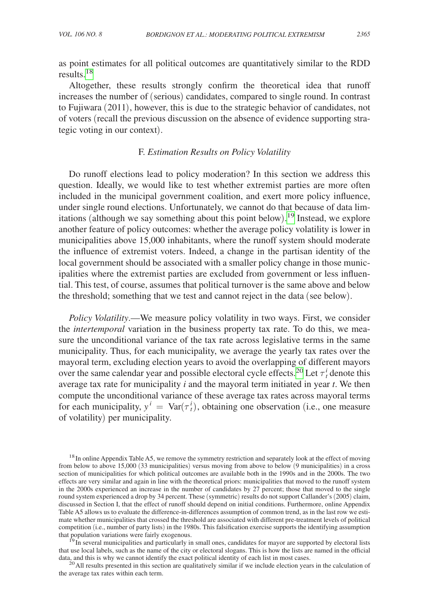as point estimates for all political outcomes are quantitatively similar to the RDD results. $18$ 

Altogether, these results strongly confirm the theoretical idea that runoff increases the number of (serious) candidates, compared to single round. In contrast to Fujiwara (2011), however, this is due to the strategic behavior of candidates, not of voters (recall the previous discussion on the absence of evidence supporting strategic voting in our context).

# F. *Estimation Results on Policy Volatility*

Do runoff elections lead to policy moderation? In this section we address this question. Ideally, we would like to test whether extremist parties are more often included in the municipal government coalition, and exert more policy influence, under single round elections. Unfortunately, we cannot do that because of data limitations (although we say something about this point below). [19](#page-16-1) Instead, we explore another feature of policy outcomes: whether the average policy volatility is lower in municipalities above 15,000 inhabitants, where the runoff system should moderate the influence of extremist voters. Indeed, a change in the partisan identity of the local government should be associated with a smaller policy change in those municipalities where the extremist parties are excluded from government or less influential. This test, of course, assumes that political turnover is the same above and below the threshold; something that we test and cannot reject in the data (see below).

*Policy Volatility*.—We measure policy volatility in two ways. First, we consider the *intertemporal* variation in the business property tax rate. To do this, we measure the unconditional variance of the tax rate across legislative terms in the same municipality. Thus, for each municipality, we average the yearly tax rates over the mayoral term, excluding election years to avoid the overlapping of different mayors over the same calendar year and possible electoral cycle effects.<sup>[20](#page-16-2)</sup> Let  $\tau_t^i$  denote this average tax rate for municipality *i* and the mayoral term initiated in year *t*. We then compute the unconditional variance of these average tax rates across mayoral terms for each municipality,  $y^i = \text{Var}(\tau_t^i)$ , obtaining one observation (i.e., one measure of volatility) per municipality.

<span id="page-16-1"></span> $t<sup>19</sup>$ In several municipalities and particularly in small ones, candidates for mayor are supported by electoral lists that use local labels, such as the name of the city or electoral slogans. This is how the lists are named in the official data, and this is why we cannot identify the exact political identity of each list in most cases.

<span id="page-16-2"></span> $^{20}$  All results presented in this section are qualitatively similar if we include election years in the calculation of the average tax rates within each term.

<span id="page-16-0"></span><sup>&</sup>lt;sup>18</sup>In online Appendix Table A5, we remove the symmetry restriction and separately look at the effect of moving from below to above 15,000 (33 municipalities) versus moving from above to below (9 municipalities) in a cross section of municipalities for which political outcomes are available both in the 1990s and in the 2000s. The two effects are very similar and again in line with the theoretical priors: municipalities that moved to the runoff system in the 2000s experienced an increase in the number of candidates by 27 percent; those that moved to the single round system experienced a drop by 34 percent. These (symmetric) results do not support Callander's (2005) claim, discussed in Section I, that the effect of runoff should depend on initial conditions. Furthermore, online Appendix Table A5 allows us to evaluate the difference-in-differences assumption of common trend, as in the last row we estimate whether municipalities that crossed the threshold are associated with different pre-treatment levels of political competition (i.e., number of party lists) in the 1980s. This falsification exercise supports the identifying assumption that population variations were fairly exogenous.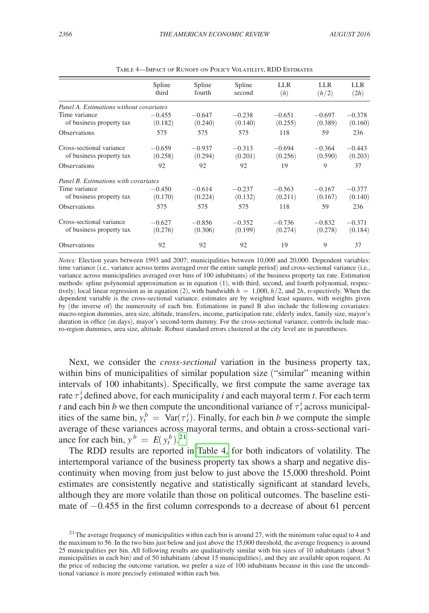|                                                      | Spline<br>third     | Spline<br>fourth    | Spline<br>second    | LLR<br>(h)          | LLR<br>(h/2)        | LLR<br>(2h)         |
|------------------------------------------------------|---------------------|---------------------|---------------------|---------------------|---------------------|---------------------|
| Panel A. Estimations without covariates              |                     |                     |                     |                     |                     |                     |
| Time variance<br>of business property tax            | $-0.455$<br>(0.182) | $-0.647$<br>(0.240) | $-0.238$<br>(0.140) | $-0.651$<br>(0.255) | $-0.697$<br>(0.389) | $-0.378$<br>(0.160) |
| <b>Observations</b>                                  | 575                 | 575                 | 575                 | 118                 | 59                  | 236                 |
| Cross-sectional variance<br>of business property tax | $-0.659$<br>(0.258) | $-0.937$<br>(0.294) | $-0.313$<br>(0.201) | $-0.694$<br>(0.256) | $-0.364$<br>(0.590) | $-0.443$<br>(0.203) |
| <b>Observations</b>                                  | 92                  | 92                  | 92                  | 19                  | $\mathbf Q$         | 37                  |
| Panel B. Estimations with covariates                 |                     |                     |                     |                     |                     |                     |
| Time variance<br>of business property tax            | $-0.450$<br>(0.170) | $-0.614$<br>(0.224) | $-0.237$<br>(0.132) | $-0.563$<br>(0.211) | $-0.167$<br>(0.167) | $-0.377$<br>(0.140) |
| <b>Observations</b>                                  | 575                 | 575                 | 575                 | 118                 | 59                  | 236                 |
| Cross-sectional variance<br>of business property tax | $-0.627$<br>(0.276) | $-0.856$<br>(0.306) | $-0.352$<br>(0.199) | $-0.736$<br>(0.274) | $-0.832$<br>(0.278) | $-0.371$<br>(0.184) |
| <b>Observations</b>                                  | 92                  | 92                  | 92                  | 19                  | 9                   | 37                  |

Table 4—Impact of Runoff on Policy Volatility, RDD Estimates

*Notes:* Election years between 1993 and 2007; municipalities between 10,000 and 20,000. Dependent variables: time variance (i.e*.,* variance across terms averaged over the entire sample period) and cross-sectional variance (i.e., variance across municipalities averaged over bins of 100 inhabitants) of the business property tax rate. Estimation methods: spline polynomial approximation as in equation (1), with third, second, and fourth polynomial, respectively; local linear regression as in equation (2), with bandwidth  $h = 1,000$ ,  $h/2$ , and  $2h$ , respectively. When the dependent variable is the cross-sectional variance, estimates are by weighted least squares, with weights given by (the inverse of) the numerosity of each bin. Estimations in panel B also include the following covariates: macro-region dummies, area size, altitude, transfers, income, participation rate, elderly index, family size, mayor's duration in office (in days), mayor's second-term dummy. For the cross-sectional variance, controls include macro-region dummies, area size, altitude. Robust standard errors clustered at the city level are in parentheses.

Next, we consider the *cross-sectional* variation in the business property tax, within bins of municipalities of similar population size ("similar" meaning within intervals of 100 inhabitants). Specifically, we first compute the same average tax rate  $\tau_t^i$  defined above, for each municipality *i* and each mayoral term *t*. For each term *t* and each bin *b* we then compute the unconditional variance of  $\tau_i^i$  across municipalities of the same bin,  $y_t^b = \text{Var}(\tau_t^i)$ . Finally, for each bin *b* we compute the simple average of these variances across mayoral terms, and obtain a cross-sectional variance for each bin,  $y^b = E(y_t^b)$ .<sup>[21](#page-17-0)</sup>

The RDD results are reported in Table 4, for both indicators of volatility. The intertemporal variance of the business property tax shows a sharp and negative discontinuity when moving from just below to just above the 15,000 threshold. Point estimates are consistently negative and statistically significant at standard levels, although they are more volatile than those on political outcomes. The baseline estimate of −0.455 in the first column corresponds to a decrease of about 61 percent

<span id="page-17-0"></span> $21$ The average frequency of municipalities within each bin is around 27, with the minimum value equal to 4 and the maximum to 56. In the two bins just below and just above the 15,000 threshold, the average frequency is around 25 municipalities per bin. All following results are qualitatively similar with bin sizes of 10 inhabitants (about 5 municipalities in each bin) and of 50 inhabitants (about 15 municipalities), and they are available upon request. At the price of reducing the outcome variation, we prefer a size of 100 inhabitants because in this case the unconditional variance is more precisely estimated within each bin.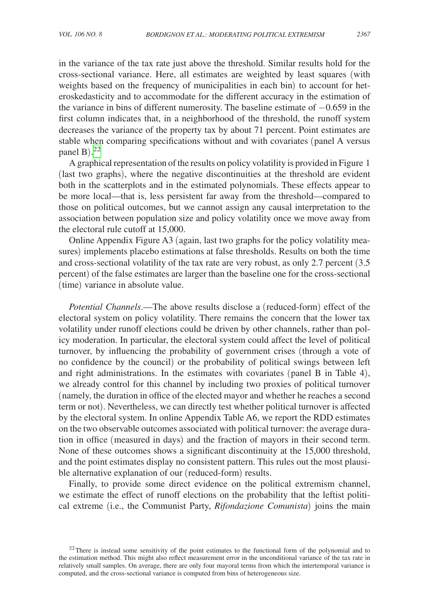in the variance of the tax rate just above the threshold. Similar results hold for the cross-sectional variance. Here, all estimates are weighted by least squares (with weights based on the frequency of municipalities in each bin) to account for heteroskedasticity and to accommodate for the different accuracy in the estimation of the variance in bins of different numerosity. The baseline estimate of −0.659 in the first column indicates that, in a neighborhood of the threshold, the runoff system decreases the variance of the property tax by about 71 percent. Point estimates are stable when comparing specifications without and with covariates (panel A versus panel B). [22](#page-18-0)

A graphical representation of the results on policy volatility is provided in Figure 1 (last two graphs), where the negative discontinuities at the threshold are evident both in the scatterplots and in the estimated polynomials. These effects appear to be more local—that is, less persistent far away from the threshold—compared to those on political outcomes, but we cannot assign any causal interpretation to the association between population size and policy volatility once we move away from the electoral rule cutoff at 15,000.

Online Appendix Figure A3 (again, last two graphs for the policy volatility measures) implements placebo estimations at false thresholds. Results on both the time and cross-sectional volatility of the tax rate are very robust, as only 2.7 percent (3.5 percent) of the false estimates are larger than the baseline one for the cross-sectional (time) variance in absolute value.

*Potential Channels*.—The above results disclose a (reduced-form) effect of the electoral system on policy volatility. There remains the concern that the lower tax volatility under runoff elections could be driven by other channels, rather than policy moderation. In particular, the electoral system could affect the level of political turnover, by influencing the probability of government crises (through a vote of no confidence by the council) or the probability of political swings between left and right administrations. In the estimates with covariates (panel B in Table 4), we already control for this channel by including two proxies of political turnover (namely, the duration in office of the elected mayor and whether he reaches a second term or not). Nevertheless, we can directly test whether political turnover is affected by the electoral system. In online Appendix Table A6, we report the RDD estimates on the two observable outcomes associated with political turnover: the average duration in office (measured in days) and the fraction of mayors in their second term. None of these outcomes shows a significant discontinuity at the 15,000 threshold, and the point estimates display no consistent pattern. This rules out the most plausible alternative explanation of our (reduced-form) results.

Finally, to provide some direct evidence on the political extremism channel, we estimate the effect of runoff elections on the probability that the leftist political extreme (i.e., the Communist Party, *Rifondazione Comunista*) joins the main

<span id="page-18-0"></span> $22$ There is instead some sensitivity of the point estimates to the functional form of the polynomial and to the estimation method. This might also reflect measurement error in the unconditional variance of the tax rate in relatively small samples. On average, there are only four mayoral terms from which the intertemporal variance is computed, and the cross-sectional variance is computed from bins of heterogeneous size.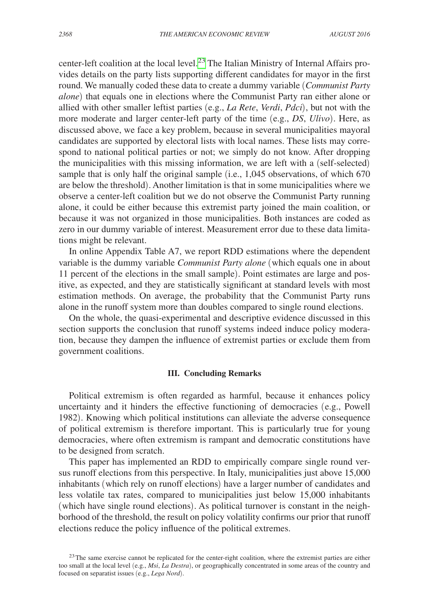center-left coalition at the local level.<sup>23</sup> The Italian Ministry of Internal Affairs provides details on the party lists supporting different candidates for mayor in the first round. We manually coded these data to create a dummy variable (*Communist Party alone*) that equals one in elections where the Communist Party ran either alone or allied with other smaller leftist parties (e.g., *La Rete*, *Verdi*, *Pdci*), but not with the more moderate and larger center-left party of the time (e.g., *DS*, *Ulivo*). Here, as discussed above, we face a key problem, because in several municipalities mayoral candidates are supported by electoral lists with local names. These lists may correspond to national political parties or not; we simply do not know. After dropping the municipalities with this missing information, we are left with a (self-selected) sample that is only half the original sample (i.e., 1,045 observations, of which 670 are below the threshold). Another limitation is that in some municipalities where we observe a center-left coalition but we do not observe the Communist Party running alone, it could be either because this extremist party joined the main coalition, or because it was not organized in those municipalities. Both instances are coded as zero in our dummy variable of interest. Measurement error due to these data limitations might be relevant.

In online Appendix Table A7, we report RDD estimations where the dependent variable is the dummy variable *Communist Party alone* (which equals one in about 11 percent of the elections in the small sample). Point estimates are large and positive, as expected, and they are statistically significant at standard levels with most estimation methods. On average, the probability that the Communist Party runs alone in the runoff system more than doubles compared to single round elections.

On the whole, the quasi-experimental and descriptive evidence discussed in this section supports the conclusion that runoff systems indeed induce policy moderation, because they dampen the influence of extremist parties or exclude them from government coalitions.

#### **III. Concluding Remarks**

Political extremism is often regarded as harmful, because it enhances policy uncertainty and it hinders the effective functioning of democracies (e.g., Powell 1982). Knowing which political institutions can alleviate the adverse consequence of political extremism is therefore important. This is particularly true for young democracies, where often extremism is rampant and democratic constitutions have to be designed from scratch.

This paper has implemented an RDD to empirically compare single round versus runoff elections from this perspective. In Italy, municipalities just above 15,000 inhabitants (which rely on runoff elections) have a larger number of candidates and less volatile tax rates, compared to municipalities just below 15,000 inhabitants (which have single round elections). As political turnover is constant in the neighborhood of the threshold, the result on policy volatility confirms our prior that runoff elections reduce the policy influence of the political extremes.

<span id="page-19-0"></span><sup>&</sup>lt;sup>23</sup>The same exercise cannot be replicated for the center-right coalition, where the extremist parties are either too small at the local level (e.g., *Msi*, *La Destra*), or geographically concentrated in some areas of the country and focused on separatist issues (e.g., *Lega Nord*).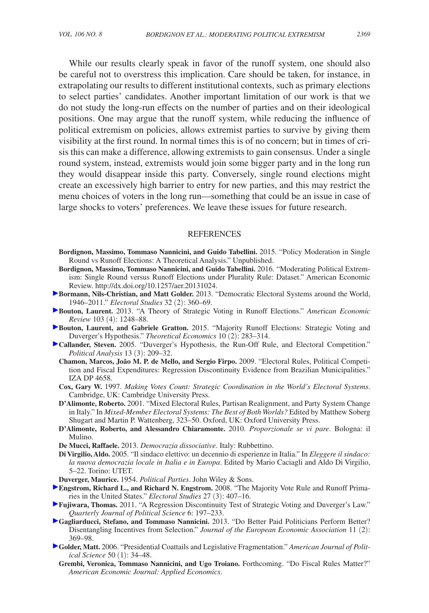While our results clearly speak in favor of the runoff system, one should also be careful not to overstress this implication. Care should be taken, for instance, in extrapolating our results to different institutional contexts, such as primary elections to select parties' candidates. Another important limitation of our work is that we do not study the long-run effects on the number of parties and on their ideological positions. One may argue that the runoff system, while reducing the influence of political extremism on policies, allows extremist parties to survive by giving them visibility at the first round. In normal times this is of no concern; but in times of crisis this can make a difference, allowing extremists to gain consensus. Under a single round system, instead, extremists would join some bigger party and in the long run they would disappear inside this party. Conversely, single round elections might create an excessively high barrier to entry for new parties, and this may restrict the menu choices of voters in the long run—something that could be an issue in case of large shocks to voters' preferences. We leave these issues for future research.

#### **REFERENCES**

- **Bordignon, Massimo, Tommaso Nannicini, and Guido Tabellini.** 2015. "Policy Moderation in Single Round vs Runoff Elections: A Theoretical Analysis." Unpublished.
- **Bordignon, Massimo, Tommaso Nannicini, and Guido Tabellini.** 2016. "Moderating Political Extremism: Single Round versus Runoff Elections under Plurality Rule: Dataset." American Economic Review. <http://dx.doi.org/10.1257/aer.20131024>.
- **Bormann, Nils-Christian, and Matt Golder.** 2013. "Democratic Electoral Systems around the World, 1946–2011." *Electoral Studies* 32 (2): 360–69.
- **Bouton, Laurent.** 2013. "A Theory of Strategic Voting in Runoff Elections." *Ame*ric*an Economic Review* 103 (4): 1248–88.
- **Bouton, Laurent, and Gabriele Gratton.** 2015. "Majority Runoff Elections: Strategic Voting and Duverger's Hypothesis." *Theoretical Economics* 10 (2): 283–314.
- **Callander, Steven.** 2005. "Duverger's Hypothesis, the Run-Off Rule, and Electoral Competition." *Political Analysis* 13 (3): 209–32.
	- **Chamon, Marcos, João M. P. de Mello, and Sergio Firpo.** 2009. "Electoral Rules, Political Competition and Fiscal Expenditures: Regression Discontinuity Evidence from Brazilian Municipalities." IZA DP 4658.
	- **Cox, Gary W.** 1997. *Making Votes Count: Strategic Coordination in the World's Electoral Systems*. Cambridge, UK: Cambridge University Press.
	- **D'Alimonte, Roberto.** 2001. "Mixed Electoral Rules, Partisan Realignment, and Party System Change in Italy." In *Mixed-Member Electoral Systems: The Best of Both Worlds?* Edited by Matthew Soberg Shugart and Martin P. Wattenberg, 323–50. Oxford, UK: Oxford University Press.
	- **D'Alimonte, Roberto, and Alessandro Chiaramonte.** 2010. *Proporzionale se vi pare*. Bologna: il Mulino.
	- **De Mucci, Raffaele.** 2013. *Democrazia dissociative*. Italy: Rubbettino.
	- **Di Virgilio, Aldo.** 2005. "Il sindaco elettivo: un decennio di esperienze in Italia." In *Eleggere il sindaco: la nuova democrazia locale in Italia e in Europa*. Edited by Mario Caciagli and Aldo Di Virgilio, 5–22. Torino: UTET.
- **Duverger, Maurice.** 1954. *Political Parties*. John Wiley & Sons.
- **Engstrom, Richard L., and Richard N. Engstrom.** 2008. "The Majority Vote Rule and Runoff Primaries in the United States." *Electoral Studies* 27 (3): 407–16.
- **Fujiwara, Thomas.** 2011. "A Regression Discontinuity Test of Strategic Voting and Duverger's Law." *Quarterly Journal of Political Science* 6: 197–233.
- **Gagliarducci, Stefano, and Tommaso Nannicini.** 2013. "Do Better Paid Politicians Perform Better? Disentangling Incentives from Selection." *Journal of the European Economic Association* 11 (2): 369–98.
- **Golder, Matt.** 2006. "Presidential Coattails and Legislative Fragmentation." *American Journal of Political Science* 50 (1): 34–48.
	- **Grembi, Veronica, Tommaso Nannicini, and Ugo Troiano.** Forthcoming. "Do Fiscal Rules Matter?" *American Economic Journal: Applied Economics*.